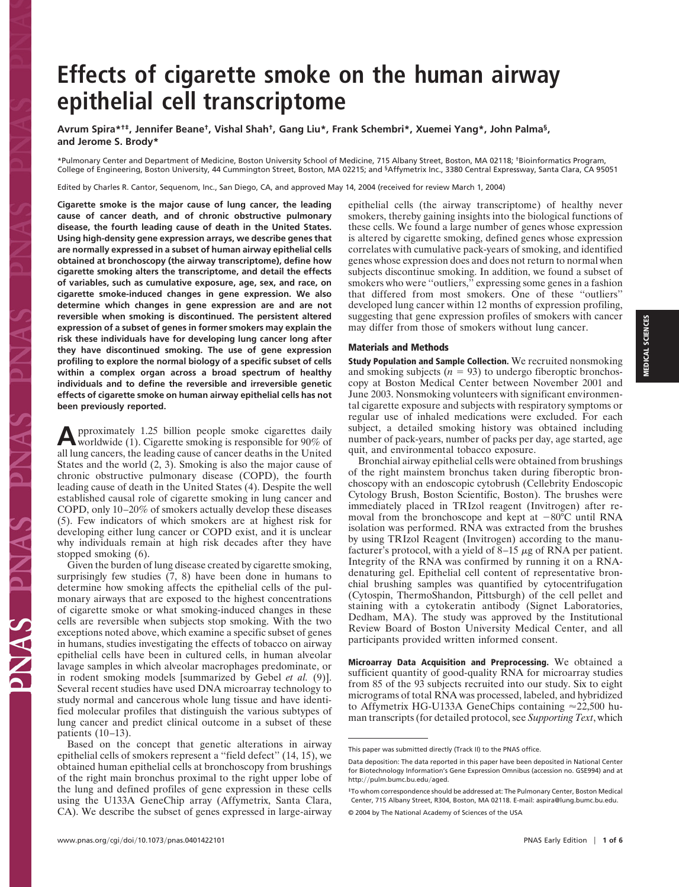## **Effects of cigarette smoke on the human airway epithelial cell transcriptome**

**Avrum Spira\*†‡, Jennifer Beane†, Vishal Shah†, Gang Liu\*, Frank Schembri\*, Xuemei Yang\*, John Palma§, and Jerome S. Brody\***

\*Pulmonary Center and Department of Medicine, Boston University School of Medicine, 715 Albany Street, Boston, MA 02118; †Bioinformatics Program, College of Engineering, Boston University, 44 Cummington Street, Boston, MA 02215; and §Affymetrix Inc., 3380 Central Expressway, Santa Clara, CA 95051

Edited by Charles R. Cantor, Sequenom, Inc., San Diego, CA, and approved May 14, 2004 (received for review March 1, 2004)

**Cigarette smoke is the major cause of lung cancer, the leading cause of cancer death, and of chronic obstructive pulmonary disease, the fourth leading cause of death in the United States. Using high-density gene expression arrays, we describe genes that are normally expressed in a subset of human airway epithelial cells obtained at bronchoscopy (the airway transcriptome), define how cigarette smoking alters the transcriptome, and detail the effects of variables, such as cumulative exposure, age, sex, and race, on cigarette smoke-induced changes in gene expression. We also determine which changes in gene expression are and are not reversible when smoking is discontinued. The persistent altered expression of a subset of genes in former smokers may explain the risk these individuals have for developing lung cancer long after they have discontinued smoking. The use of gene expression profiling to explore the normal biology of a specific subset of cells within a complex organ across a broad spectrum of healthy individuals and to define the reversible and irreversible genetic effects of cigarette smoke on human airway epithelial cells has not been previously reported.**

**A**pproximately 1.25 billion people smoke cigarettes daily worldwide (1). Cigarette smoking is responsible for 90% of all lung cancers, the leading cause of cancer deaths in the United States and the world (2, 3). Smoking is also the major cause of chronic obstructive pulmonary disease (COPD), the fourth leading cause of death in the United States (4). Despite the well established causal role of cigarette smoking in lung cancer and COPD, only 10–20% of smokers actually develop these diseases (5). Few indicators of which smokers are at highest risk for developing either lung cancer or COPD exist, and it is unclear why individuals remain at high risk decades after they have stopped smoking (6).

Given the burden of lung disease created by cigarette smoking, surprisingly few studies  $(7, 8)$  have been done in humans to determine how smoking affects the epithelial cells of the pulmonary airways that are exposed to the highest concentrations of cigarette smoke or what smoking-induced changes in these cells are reversible when subjects stop smoking. With the two exceptions noted above, which examine a specific subset of genes in humans, studies investigating the effects of tobacco on airway epithelial cells have been in cultured cells, in human alveolar lavage samples in which alveolar macrophages predominate, or in rodent smoking models [summarized by Gebel *et al.* (9)]. Several recent studies have used DNA microarray technology to study normal and cancerous whole lung tissue and have identified molecular profiles that distinguish the various subtypes of lung cancer and predict clinical outcome in a subset of these patients  $(10-13)$ .

Based on the concept that genetic alterations in airway epithelial cells of smokers represent a ''field defect'' (14, 15), we obtained human epithelial cells at bronchoscopy from brushings of the right main bronchus proximal to the right upper lobe of the lung and defined profiles of gene expression in these cells using the U133A GeneChip array (Affymetrix, Santa Clara, CA). We describe the subset of genes expressed in large-airway epithelial cells (the airway transcriptome) of healthy never smokers, thereby gaining insights into the biological functions of these cells. We found a large number of genes whose expression is altered by cigarette smoking, defined genes whose expression correlates with cumulative pack-years of smoking, and identified genes whose expression does and does not return to normal when subjects discontinue smoking. In addition, we found a subset of smokers who were "outliers," expressing some genes in a fashion that differed from most smokers. One of these ''outliers'' developed lung cancer within 12 months of expression profiling, suggesting that gene expression profiles of smokers with cancer may differ from those of smokers without lung cancer.

## **Materials and Methods**

**Study Population and Sample Collection.** We recruited nonsmoking and smoking subjects  $(n = 93)$  to undergo fiberoptic bronchoscopy at Boston Medical Center between November 2001 and June 2003. Nonsmoking volunteers with significant environmental cigarette exposure and subjects with respiratory symptoms or regular use of inhaled medications were excluded. For each subject, a detailed smoking history was obtained including number of pack-years, number of packs per day, age started, age quit, and environmental tobacco exposure.

Bronchial airway epithelial cells were obtained from brushings of the right mainstem bronchus taken during fiberoptic bronchoscopy with an endoscopic cytobrush (Cellebrity Endoscopic Cytology Brush, Boston Scientific, Boston). The brushes were immediately placed in TRIzol reagent (Invitrogen) after removal from the bronchoscope and kept at  $-80^{\circ}$ C until RNA isolation was performed. RNA was extracted from the brushes by using TRIzol Reagent (Invitrogen) according to the manufacturer's protocol, with a yield of  $8-15 \mu$ g of RNA per patient. Integrity of the RNA was confirmed by running it on a RNAdenaturing gel. Epithelial cell content of representative bronchial brushing samples was quantified by cytocentrifugation (Cytospin, ThermoShandon, Pittsburgh) of the cell pellet and staining with a cytokeratin antibody (Signet Laboratories, Dedham, MA). The study was approved by the Institutional Review Board of Boston University Medical Center, and all participants provided written informed consent.

**Microarray Data Acquisition and Preprocessing.** We obtained a sufficient quantity of good-quality RNA for microarray studies from 85 of the 93 subjects recruited into our study. Six to eight micrograms of total RNA was processed, labeled, and hybridized to Affymetrix HG-U133A GeneChips containing  $\approx$  22,500 human transcripts (for detailed protocol, see *Supporting Text*, which

This paper was submitted directly (Track II) to the PNAS office.

Data deposition: The data reported in this paper have been deposited in National Center for Biotechnology Information's Gene Expression Omnibus (accession no. GSE994) and at http://pulm.bumc.bu.edu/aged.

<sup>‡</sup>To whom correspondence should be addressed at: The Pulmonary Center, Boston Medical Center, 715 Albany Street, R304, Boston, MA 02118. E-mail: aspira@lung.bumc.bu.edu. © 2004 by The National Academy of Sciences of the USA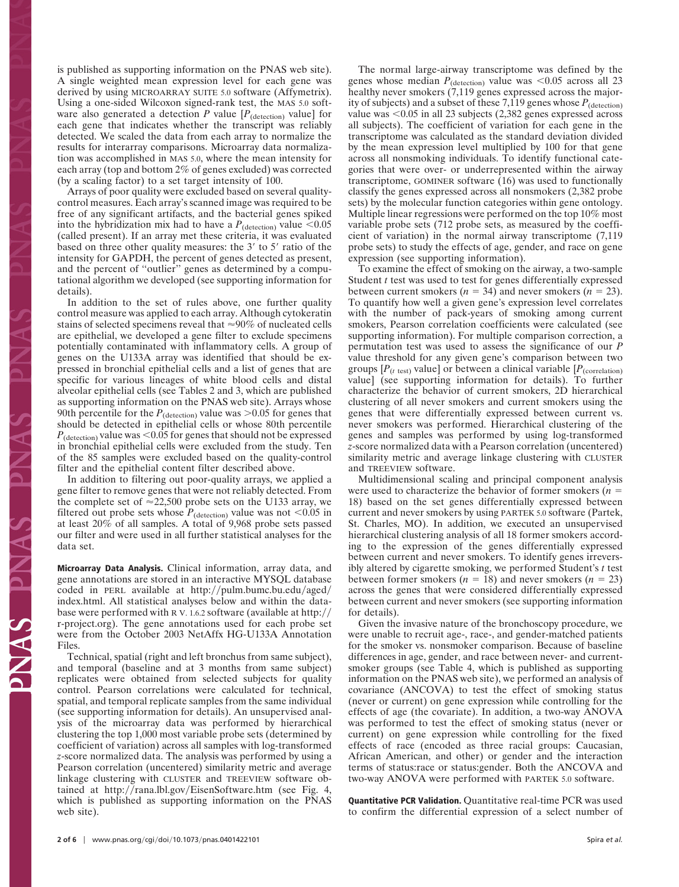is published as supporting information on the PNAS web site). A single weighted mean expression level for each gene was derived by using MICROARRAY SUITE 5.0 software (Affymetrix). Using a one-sided Wilcoxon signed-rank test, the MAS 5.0 software also generated a detection  $P$  value  $[P_{(detection)}$  value] for each gene that indicates whether the transcript was reliably detected. We scaled the data from each array to normalize the results for interarray comparisons. Microarray data normalization was accomplished in MAS 5.0, where the mean intensity for each array (top and bottom 2% of genes excluded) was corrected (by a scaling factor) to a set target intensity of 100.

Arrays of poor quality were excluded based on several qualitycontrol measures. Each array's scanned image was required to be free of any significant artifacts, and the bacterial genes spiked into the hybridization mix had to have a  $P_{\text{(detection)}}$  value  $<0.05$ (called present). If an array met these criteria, it was evaluated based on three other quality measures: the  $3'$  to  $5'$  ratio of the intensity for GAPDH, the percent of genes detected as present, and the percent of ''outlier'' genes as determined by a computational algorithm we developed (see supporting information for details).

In addition to the set of rules above, one further quality control measure was applied to each array. Although cytokeratin stains of selected specimens reveal that  $\approx 90\%$  of nucleated cells are epithelial, we developed a gene filter to exclude specimens potentially contaminated with inflammatory cells. A group of genes on the U133A array was identified that should be expressed in bronchial epithelial cells and a list of genes that are specific for various lineages of white blood cells and distal alveolar epithelial cells (see Tables 2 and 3, which are published as supporting information on the PNAS web site). Arrays whose 90th percentile for the  $P_{\text{(detection)}}$  value was  $>0.05$  for genes that should be detected in epithelial cells or whose 80th percentile  $P_{\text{(detection)}}$  value was <0.05 for genes that should not be expressed in bronchial epithelial cells were excluded from the study. Ten of the 85 samples were excluded based on the quality-control filter and the epithelial content filter described above.

In addition to filtering out poor-quality arrays, we applied a gene filter to remove genes that were not reliably detected. From the complete set of  $\approx$  22,500 probe sets on the U133 array, we filtered out probe sets whose  $P_{\text{(detection)}}$  value was not <0.05 in at least 20% of all samples. A total of 9,968 probe sets passed our filter and were used in all further statistical analyses for the data set.

**Microarray Data Analysis.** Clinical information, array data, and gene annotations are stored in an interactive MYSQL database coded in PERL available at  $http://pullm.bumc.bu.edu/aged/$ index.html. All statistical analyses below and within the database were performed with R V. 1.6.2 software (available at http:// r-project.org). The gene annotations used for each probe set were from the October 2003 NetAffx HG-U133A Annotation Files.

Technical, spatial (right and left bronchus from same subject), and temporal (baseline and at 3 months from same subject) replicates were obtained from selected subjects for quality control. Pearson correlations were calculated for technical, spatial, and temporal replicate samples from the same individual (see supporting information for details). An unsupervised analysis of the microarray data was performed by hierarchical clustering the top 1,000 most variable probe sets (determined by coefficient of variation) across all samples with log-transformed *z*-score normalized data. The analysis was performed by using a Pearson correlation (uncentered) similarity metric and average linkage clustering with CLUSTER and TREEVIEW software obtained at http://rana.lbl.gov/EisenSoftware.htm (see Fig. 4, which is published as supporting information on the PNAS web site).

The normal large-airway transcriptome was defined by the genes whose median  $P_{(detection)}$  value was  $\leq 0.05$  across all 23 healthy never smokers (7,119 genes expressed across the majority of subjects) and a subset of these 7,119 genes whose  $P_{\text{(detection)}}$ value was  $< 0.05$  in all 23 subjects (2,382 genes expressed across all subjects). The coefficient of variation for each gene in the transcriptome was calculated as the standard deviation divided by the mean expression level multiplied by 100 for that gene across all nonsmoking individuals. To identify functional categories that were over- or underrepresented within the airway transcriptome, GOMINER software (16) was used to functionally classify the genes expressed across all nonsmokers (2,382 probe sets) by the molecular function categories within gene ontology. Multiple linear regressions were performed on the top 10% most variable probe sets (712 probe sets, as measured by the coefficient of variation) in the normal airway transcriptome (7,119 probe sets) to study the effects of age, gender, and race on gene expression (see supporting information).

To examine the effect of smoking on the airway, a two-sample Student *t* test was used to test for genes differentially expressed between current smokers ( $n = 34$ ) and never smokers ( $n = 23$ ). To quantify how well a given gene's expression level correlates with the number of pack-years of smoking among current smokers, Pearson correlation coefficients were calculated (see supporting information). For multiple comparison correction, a permutation test was used to assess the significance of our *P* value threshold for any given gene's comparison between two groups  $[P<sub>(t test)</sub>$  value] or between a clinical variable  $[P<sub>(correlation)</sub>]$ value] (see supporting information for details). To further characterize the behavior of current smokers, 2D hierarchical clustering of all never smokers and current smokers using the genes that were differentially expressed between current vs. never smokers was performed. Hierarchical clustering of the genes and samples was performed by using log-transformed *z*-score normalized data with a Pearson correlation (uncentered) similarity metric and average linkage clustering with CLUSTER and TREEVIEW software.

Multidimensional scaling and principal component analysis were used to characterize the behavior of former smokers (*n* 18) based on the set genes differentially expressed between current and never smokers by using PARTEK 5.0 software (Partek, St. Charles, MO). In addition, we executed an unsupervised hierarchical clustering analysis of all 18 former smokers according to the expression of the genes differentially expressed between current and never smokers. To identify genes irreversibly altered by cigarette smoking, we performed Student's *t* test between former smokers ( $n = 18$ ) and never smokers ( $n = 23$ ) across the genes that were considered differentially expressed between current and never smokers (see supporting information for details).

Given the invasive nature of the bronchoscopy procedure, we were unable to recruit age-, race-, and gender-matched patients for the smoker vs. nonsmoker comparison. Because of baseline differences in age, gender, and race between never- and currentsmoker groups (see Table 4, which is published as supporting information on the PNAS web site), we performed an analysis of covariance (ANCOVA) to test the effect of smoking status (never or current) on gene expression while controlling for the effects of age (the covariate). In addition, a two-way ANOVA was performed to test the effect of smoking status (never or current) on gene expression while controlling for the fixed effects of race (encoded as three racial groups: Caucasian, African American, and other) or gender and the interaction terms of status:race or status:gender. Both the ANCOVA and two-way ANOVA were performed with PARTEK 5.0 software.

**Quantitative PCR Validation.** Quantitative real-time PCR was used to confirm the differential expression of a select number of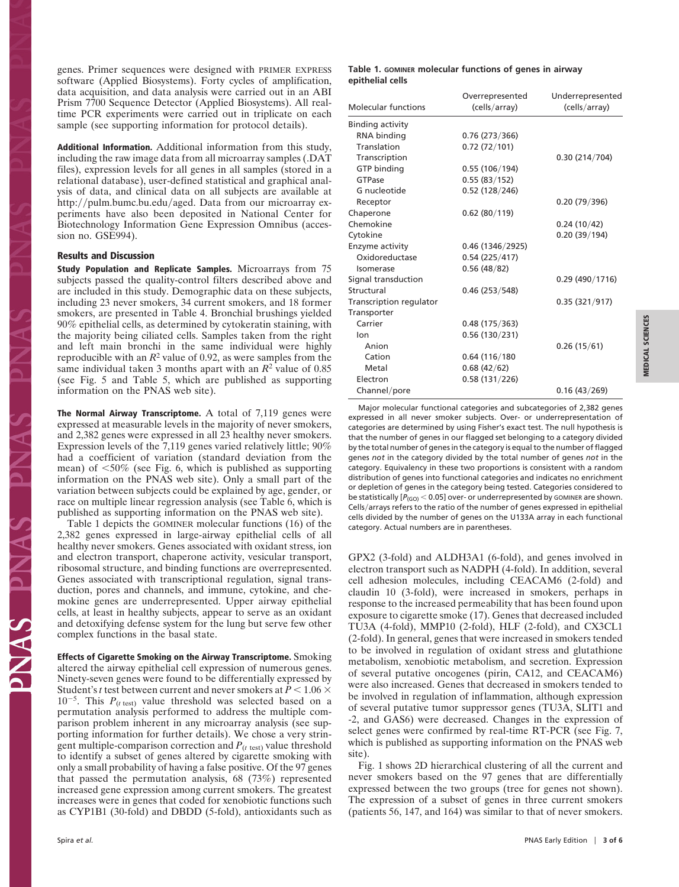genes. Primer sequences were designed with PRIMER EXPRESS software (Applied Biosystems). Forty cycles of amplification, data acquisition, and data analysis were carried out in an ABI Prism 7700 Sequence Detector (Applied Biosystems). All realtime PCR experiments were carried out in triplicate on each sample (see supporting information for protocol details).

**Additional Information.** Additional information from this study, including the raw image data from all microarray samples (.DAT files), expression levels for all genes in all samples (stored in a relational database), user-defined statistical and graphical analysis of data, and clinical data on all subjects are available at http://pulm.bumc.bu.edu/aged. Data from our microarray experiments have also been deposited in National Center for Biotechnology Information Gene Expression Omnibus (accession no. GSE994).

## **Results and Discussion**

**Study Population and Replicate Samples.** Microarrays from 75 subjects passed the quality-control filters described above and are included in this study. Demographic data on these subjects, including 23 never smokers, 34 current smokers, and 18 former smokers, are presented in Table 4. Bronchial brushings yielded 90% epithelial cells, as determined by cytokeratin staining, with the majority being ciliated cells. Samples taken from the right and left main bronchi in the same individual were highly reproducible with an  $R^2$  value of 0.92, as were samples from the same individual taken 3 months apart with an *R*<sup>2</sup> value of 0.85 (see Fig. 5 and Table 5, which are published as supporting information on the PNAS web site).

**The Normal Airway Transcriptome.** A total of 7,119 genes were expressed at measurable levels in the majority of never smokers, and 2,382 genes were expressed in all 23 healthy never smokers. Expression levels of the 7,119 genes varied relatively little; 90% had a coefficient of variation (standard deviation from the mean) of  $\leq 50\%$  (see Fig. 6, which is published as supporting information on the PNAS web site). Only a small part of the variation between subjects could be explained by age, gender, or race on multiple linear regression analysis (see Table 6, which is published as supporting information on the PNAS web site).

Table 1 depicts the GOMINER molecular functions (16) of the 2,382 genes expressed in large-airway epithelial cells of all healthy never smokers. Genes associated with oxidant stress, ion and electron transport, chaperone activity, vesicular transport, ribosomal structure, and binding functions are overrepresented. Genes associated with transcriptional regulation, signal transduction, pores and channels, and immune, cytokine, and chemokine genes are underrepresented. Upper airway epithelial cells, at least in healthy subjects, appear to serve as an oxidant and detoxifying defense system for the lung but serve few other complex functions in the basal state.

**Effects of Cigarette Smoking on the Airway Transcriptome.** Smoking altered the airway epithelial cell expression of numerous genes. Ninety-seven genes were found to be differentially expressed by Student's *t* test between current and never smokers at  $P < 1.06 \times$  $10^{-5}$ . This  $P_{(t \text{ test})}$  value threshold was selected based on a permutation analysis performed to address the multiple comparison problem inherent in any microarray analysis (see supporting information for further details). We chose a very stringent multiple-comparison correction and  $P$ <sub>( $t$  test)</sub> value threshold to identify a subset of genes altered by cigarette smoking with only a small probability of having a false positive. Of the 97 genes that passed the permutation analysis, 68 (73%) represented increased gene expression among current smokers. The greatest increases were in genes that coded for xenobiotic functions such as CYP1B1 (30-fold) and DBDD (5-fold), antioxidants such as

## **Table 1. GOMINER molecular functions of genes in airway epithelial cells**

| <b>Molecular functions</b> | Overrepresented<br>(cells/array) | Underrepresented<br>(cells/array) |
|----------------------------|----------------------------------|-----------------------------------|
| Binding activity           |                                  |                                   |
| RNA binding                | 0.76(273/366)                    |                                   |
| Translation                | 0.72(72/101)                     |                                   |
| Transcription              |                                  | 0.30(214/704)                     |
| <b>GTP</b> binding         | 0.55(106/194)                    |                                   |
| GTPase                     | 0.55(83/152)                     |                                   |
| G nucleotide               | 0.52(128/246)                    |                                   |
| Receptor                   |                                  | 0.20(79/396)                      |
| Chaperone                  | 0.62(80/119)                     |                                   |
| Chemokine                  |                                  | 0.24(10/42)                       |
| Cytokine                   |                                  | 0.20(39/194)                      |
| Enzyme activity            | 0.46 (1346/2925)                 |                                   |
| Oxidoreductase             | 0.54(225/417)                    |                                   |
| Isomerase                  | 0.56(48/82)                      |                                   |
| Signal transduction        |                                  | 0.29(490/1716)                    |
| Structural                 | 0.46(253/548)                    |                                   |
| Transcription regulator    |                                  | 0.35(321/917)                     |
| Transporter                |                                  |                                   |
| Carrier                    | 0.48(175/363)                    |                                   |
| lon                        | 0.56(130/231)                    |                                   |
| Anion                      |                                  | 0.26(15/61)                       |
| Cation                     | 0.64(116/180)                    |                                   |
| Metal                      | 0.68(42/62)                      |                                   |
| Electron                   | 0.58(131/226)                    |                                   |
| Channel/pore               |                                  | 0.16(43/269)                      |
|                            |                                  |                                   |

Major molecular functional categories and subcategories of 2,382 genes expressed in all never smoker subjects. Over- or underrepresentation of categories are determined by using Fisher's exact test. The null hypothesis is that the number of genes in our flagged set belonging to a category divided by the total number of genes in the category is equal to the number of flagged genes *not* in the category divided by the total number of genes *not* in the category. Equivalency in these two proportions is consistent with a random distribution of genes into functional categories and indicates no enrichment or depletion of genes in the category being tested. Categories considered to be statistically [ $P_{(GO)}$  < 0.05] over- or underrepresented by GOMINER are shown. Cells/arrays refers to the ratio of the number of genes expressed in epithelial cells divided by the number of genes on the U133A array in each functional category. Actual numbers are in parentheses.

GPX2 (3-fold) and ALDH3A1 (6-fold), and genes involved in electron transport such as NADPH (4-fold). In addition, several cell adhesion molecules, including CEACAM6 (2-fold) and claudin 10 (3-fold), were increased in smokers, perhaps in response to the increased permeability that has been found upon exposure to cigarette smoke (17). Genes that decreased included TU3A (4-fold), MMP10 (2-fold), HLF (2-fold), and CX3CL1 (2-fold). In general, genes that were increased in smokers tended to be involved in regulation of oxidant stress and glutathione metabolism, xenobiotic metabolism, and secretion. Expression of several putative oncogenes (pirin, CA12, and CEACAM6) were also increased. Genes that decreased in smokers tended to be involved in regulation of inflammation, although expression of several putative tumor suppressor genes (TU3A, SLIT1 and -2, and GAS6) were decreased. Changes in the expression of select genes were confirmed by real-time RT-PCR (see Fig. 7, which is published as supporting information on the PNAS web site).

Fig. 1 shows 2D hierarchical clustering of all the current and never smokers based on the 97 genes that are differentially expressed between the two groups (tree for genes not shown). The expression of a subset of genes in three current smokers (patients 56, 147, and 164) was similar to that of never smokers.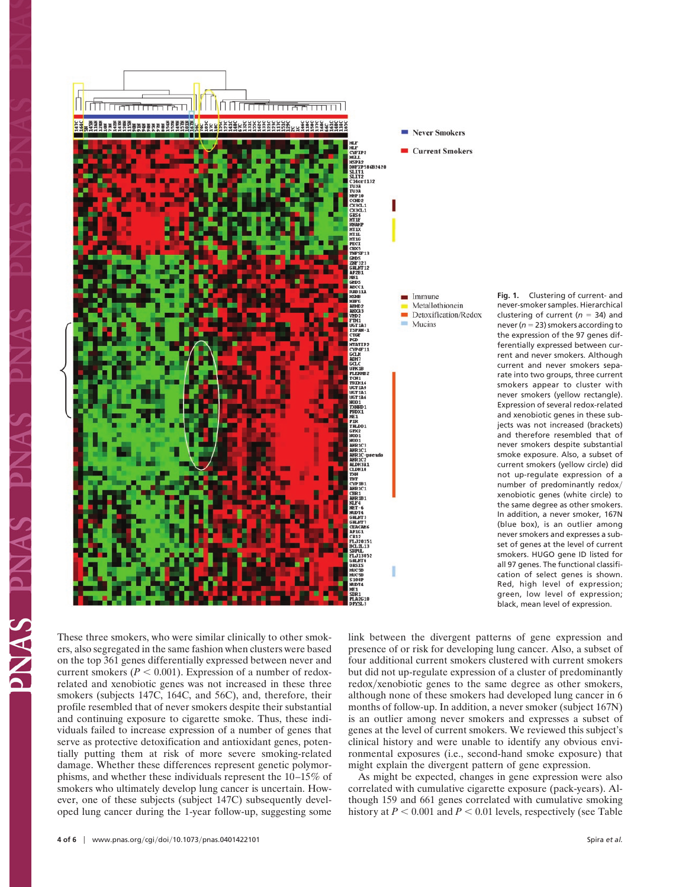

**Fig. 1.** Clustering of current- and never-smoker samples. Hierarchical clustering of current ( $n = 34$ ) and never ( $n = 23$ ) smokers according to the expression of the 97 genes differentially expressed between current and never smokers. Although current and never smokers separate into two groups, three current smokers appear to cluster with never smokers (yellow rectangle). Expression of several redox-related and xenobiotic genes in these subjects was not increased (brackets) and therefore resembled that of never smokers despite substantial smoke exposure. Also, a subset of current smokers (yellow circle) did not up-regulate expression of a number of predominantly redox xenobiotic genes (white circle) to the same degree as other smokers. In addition, a never smoker, 167N (blue box), is an outlier among never smokers and expresses a subset of genes at the level of current smokers. HUGO gene ID listed for all 97 genes. The functional classification of select genes is shown. Red, high level of expression; green, low level of expression; black, mean level of expression.

These three smokers, who were similar clinically to other smokers, also segregated in the same fashion when clusters were based on the top 361 genes differentially expressed between never and current smokers ( $P < 0.001$ ). Expression of a number of redoxrelated and xenobiotic genes was not increased in these three smokers (subjects 147C, 164C, and 56C), and, therefore, their profile resembled that of never smokers despite their substantial and continuing exposure to cigarette smoke. Thus, these individuals failed to increase expression of a number of genes that serve as protective detoxification and antioxidant genes, potentially putting them at risk of more severe smoking-related damage. Whether these differences represent genetic polymorphisms, and whether these individuals represent the 10–15% of smokers who ultimately develop lung cancer is uncertain. However, one of these subjects (subject 147C) subsequently developed lung cancer during the 1-year follow-up, suggesting some

link between the divergent patterns of gene expression and presence of or risk for developing lung cancer. Also, a subset of four additional current smokers clustered with current smokers but did not up-regulate expression of a cluster of predominantly redox/xenobiotic genes to the same degree as other smokers, although none of these smokers had developed lung cancer in 6 months of follow-up. In addition, a never smoker (subject 167N) is an outlier among never smokers and expresses a subset of genes at the level of current smokers. We reviewed this subject's clinical history and were unable to identify any obvious environmental exposures (i.e., second-hand smoke exposure) that might explain the divergent pattern of gene expression.

As might be expected, changes in gene expression were also correlated with cumulative cigarette exposure (pack-years). Although 159 and 661 genes correlated with cumulative smoking history at  $P < 0.001$  and  $P < 0.01$  levels, respectively (see Table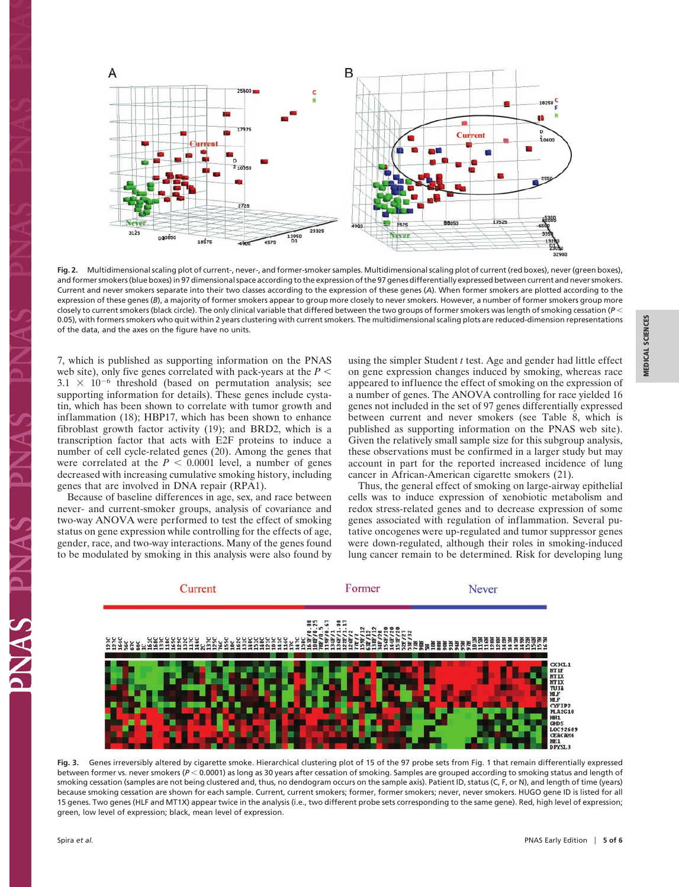**MEDICAL SCIENCES**

**MEDICAL SCIENCES** 



**Fig. 2.** Multidimensional scaling plot of current-, never-, and former-smoker samples. Multidimensional scaling plot of current (red boxes), never (green boxes), and former smokers (blue boxes) in 97 dimensional space according to the expression of the 97 genes differentially expressed between current and never smokers. Current and never smokers separate into their two classes according to the expression of these genes (*A*). When former smokers are plotted according to the expression of these genes (B), a majority of former smokers appear to group more closely to never smokers. However, a number of former smokers group more closely to current smokers (black circle). The only clinical variable that differed between the two groups of former smokers was length of smoking cessation (*P* 0.05), with formers smokers who quit within 2 years clustering with current smokers. The multidimensional scaling plots are reduced-dimension representations of the data, and the axes on the figure have no units.

7, which is published as supporting information on the PNAS web site), only five genes correlated with pack-years at the  $P \leq$  $3.1 \times 10^{-6}$  threshold (based on permutation analysis; see supporting information for details). These genes include cystatin, which has been shown to correlate with tumor growth and inflammation (18); HBP17, which has been shown to enhance fibroblast growth factor activity (19); and BRD2, which is a transcription factor that acts with E2F proteins to induce a number of cell cycle-related genes (20). Among the genes that were correlated at the  $P < 0.0001$  level, a number of genes decreased with increasing cumulative smoking history, including genes that are involved in DNA repair (RPA1).

Because of baseline differences in age, sex, and race between never- and current-smoker groups, analysis of covariance and two-way ANOVA were performed to test the effect of smoking status on gene expression while controlling for the effects of age, gender, race, and two-way interactions. Many of the genes found to be modulated by smoking in this analysis were also found by using the simpler Student *t* test. Age and gender had little effect on gene expression changes induced by smoking, whereas race appeared to influence the effect of smoking on the expression of a number of genes. The ANOVA controlling for race yielded 16 genes not included in the set of 97 genes differentially expressed between current and never smokers (see Table 8, which is published as supporting information on the PNAS web site). Given the relatively small sample size for this subgroup analysis, these observations must be confirmed in a larger study but may account in part for the reported increased incidence of lung cancer in African-American cigarette smokers (21).

Thus, the general effect of smoking on large-airway epithelial cells was to induce expression of xenobiotic metabolism and redox stress-related genes and to decrease expression of some genes associated with regulation of inflammation. Several putative oncogenes were up-regulated and tumor suppressor genes were down-regulated, although their roles in smoking-induced lung cancer remain to be determined. Risk for developing lung



**Fig. 3.** Genes irreversibly altered by cigarette smoke. Hierarchical clustering plot of 15 of the 97 probe sets from Fig. 1 that remain differentially expressed between former vs. never smokers ( $P < 0.0001$ ) as long as 30 years after cessation of smoking. Samples are grouped according to smoking status and length of smoking cessation (samples are not being clustered and, thus, no dendogram occurs on the sample axis). Patient ID, status (C, F, or N), and length of time (years) because smoking cessation are shown for each sample. Current, current smokers; former, former smokers; never, never smokers. HUGO gene ID is listed for all 15 genes. Two genes (HLF and MT1X) appear twice in the analysis (i.e., two different probe sets corresponding to the same gene). Red, high level of expression; green, low level of expression; black, mean level of expression.